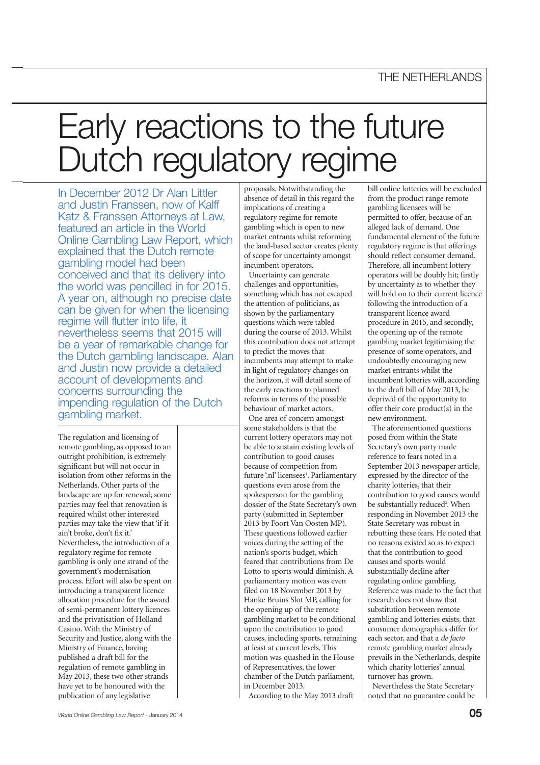## Early reactions to the future Dutch regulatory regime

In December 2012 Dr Alan Littler and Justin Franssen, now of Kalff Katz & Franssen Attorneys at Law, featured an article in the World Online Gambling Law Report, which explained that the Dutch remote gambling model had been conceived and that its delivery into<br>the world was pencilled in for 2015. A year on, although no precise date can be given for when the licensing regime will flutter into life, it nevertheless seems that 2015 will be a year of remarkable change for the Dutch gambling landscape. Alan and Justin now provide a detailed account of developments and concerns surrounding the impending regulation of the Dutch gambling market.

The regulation and licensing of remote gambling, as opposed to an outright prohibition, is extremely significant but will not occur in isolation from other reforms in the Netherlands. Other parts of the landscape are up for renewal; some parties may feel that renovation is required whilst other interested parties may take the view that 'if it ain't broke, don't fix it.' Nevertheless, the introduction of a regulatory regime for remote gambling is only one strand of the government's modernisation process. Effort will also be spent on introducing a transparent licence allocation procedure for the award of semi-permanent lottery licences and the privatisation of Holland Casino. With the Ministry of Security and Justice, along with the Ministry of Finance, having published a draft bill for the regulation of remote gambling in May 2013, these two other strands have yet to be honoured with the publication of any legislative

proposals. Notwithstanding the absence of detail in this regard the implications of creating a regulatory regime for remote gambling which is open to new market entrants whilst reforming the land-based sector creates plenty of scope for uncertainty amongst incumbent operators.

Uncertainty can generate challenges and opportunities, something which has not escaped the attention of politicians, as shown by the parliamentary questions which were tabled during the course of 2013. Whilst this contribution does not attempt to predict the moves that incumbents may attempt to make in light of regulatory changes on the horizon, it will detail some of the early reactions to planned reforms in terms of the possible behaviour of market actors.

One area of concern amongst some stakeholders is that the current lottery operators may not be able to sustain existing levels of contribution to good causes because of competition from future '.nl' licensees 1 . Parliamentary questions even arose from the spokesperson for the gambling dossier of the State Secretary's own party (submitted in September 2013 by Foort Van Oosten MP). These questions followed earlier voices during the setting of the nation's sports budget, which feared that contributions from De Lotto to sports would diminish. A parliamentary motion was even filed on 18 November 2013 by Hanke Bruins Slot MP, calling for the opening up of the remote gambling market to be conditional upon the contribution to good causes, including sports, remaining at least at current levels. This motion was quashed in the House of Representatives, the lower chamber of the Dutch parliament, in December 2013.

According to the May 2013 draft

bill online lotteries will be excluded from the product range remote gambling licensees will be permitted to offer, because of an alleged lack of demand. One fundamental element of the future regulatory regime is that offerings should reflect consumer demand. Therefore, all incumbent lottery operators will be doubly hit; firstly by uncertainty as to whether they will hold on to their current licence following the introduction of a transparent licence award procedure in 2015, and secondly, the opening up of the remote gambling market legitimising the presence of some operators, and undoubtedly encouraging new market entrants whilst the incumbent lotteries will, according to the draft bill of May 2013, be deprived of the opportunity to offer their core product(s) in the new environment.

The aforementioned questions posed from within the State Secretary's own party made reference to fears noted in a September 2013 newspaper article, expressed by the director of the charity lotteries, that their contribution to good causes would be substantially reduced<sup>2</sup>. When responding in November 2013 the State Secretary was robust in rebutting these fears. He noted that no reasons existed so as to expect that the contribution to good causes and sports would substantially decline after regulating online gambling. Reference was made to the fact that research does not show that substitution between remote gambling and lotteries exists, that consumer demographics differ for each sector, and that a *de facto* remote gambling market already prevails in the Netherlands, despite which charity lotteries' annual turnover has grown.

Nevertheless the State Secretary noted that no guarantee could be